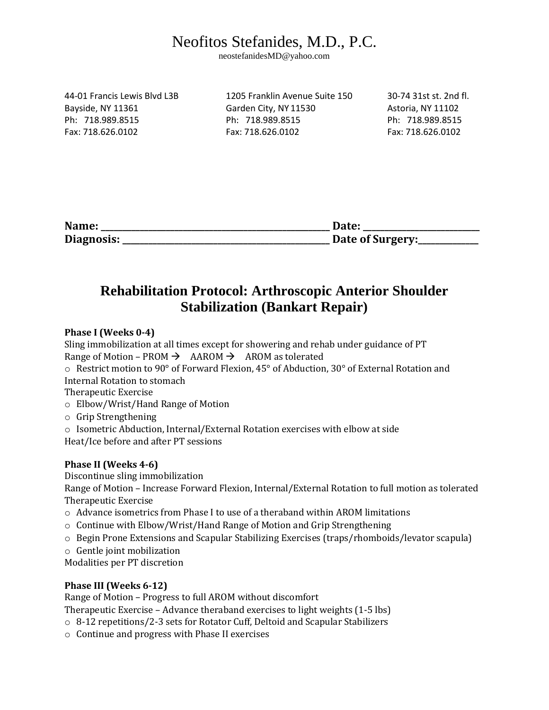# Neofitos Stefanides, M.D., P.C.

neostefanidesMD@yahoo.com

44-01 Francis Lewis Blvd L3B 1205 Franklin Avenue Suite 150 30-74 31st st. 2nd fl. Bayside, NY 11361 Garden City, NY 11530 Astoria, NY 11102 Ph: 718.989.8515 Ph: 718.989.8515 Ph: 718.989.8515 Fax: 718.626.0102 Fax: 718.626.0102 Fax: 718.626.0102

| Name:      | Date:            |
|------------|------------------|
| Diagnosis: | Date of Surgery: |

### **Rehabilitation Protocol: Arthroscopic Anterior Shoulder Stabilization (Bankart Repair)**

### **Phase I (Weeks 0-4)**

Sling immobilization at all times except for showering and rehab under guidance of PT Range of Motion – PROM  $\rightarrow$  AAROM  $\rightarrow$  AROM as tolerated

o Restrict motion to 90° of Forward Flexion, 45° of Abduction, 30° of External Rotation and Internal Rotation to stomach

Therapeutic Exercise

o Elbow/Wrist/Hand Range of Motion

o Grip Strengthening

o Isometric Abduction, Internal/External Rotation exercises with elbow at side Heat/Ice before and after PT sessions

#### **Phase II (Weeks 4-6)**

Discontinue sling immobilization

Range of Motion – Increase Forward Flexion, Internal/External Rotation to full motion as tolerated Therapeutic Exercise

- o Advance isometrics from Phase I to use of a theraband within AROM limitations
- $\circ$  Continue with Elbow/Wrist/Hand Range of Motion and Grip Strengthening
- o Begin Prone Extensions and Scapular Stabilizing Exercises (traps/rhomboids/levator scapula)
- o Gentle joint mobilization

Modalities per PT discretion

#### **Phase III (Weeks 6-12)**

Range of Motion – Progress to full AROM without discomfort

Therapeutic Exercise – Advance theraband exercises to light weights (1-5 lbs)

- o 8-12 repetitions/2-3 sets for Rotator Cuff, Deltoid and Scapular Stabilizers
- o Continue and progress with Phase II exercises